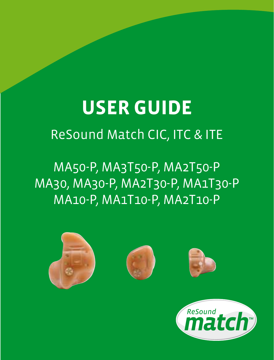# **USER GUIDE** ReSound Match CIC, ITC & ITE

# MA50-P, MA3T50-P, MA2T50-P MA30, MA30-P, MA2T30-P, MA1T30-P MA10-P, MA1T10-P, MA2T10-P

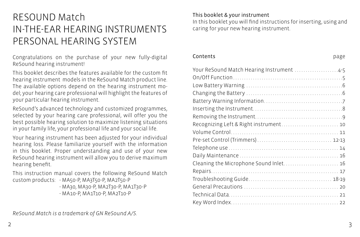# RESOUND Match IN-THE-EAR HEARING INSTRUMENTS PERSONAL HEARING SYSTEM

Congratulations on the purchase of your new fully-digital ReSound hearing instrument!

This booklet describes the features available for the custom fit hearing instrument models in the ReSound Match product line. The available options depend on the hearing instrument model; your hearing care professional will highlight the features of your particular hearing instrument.

ReSound's advanced technology and customized programmes, selected by your hearing care professional, will offer you the best possible hearing solution to maximize listening situations in your family life, your professional life and your social life.

Your hearing instrument has been adjusted for your individual hearing loss. Please familiarize yourself with the information in this booklet. Proper understanding and use of your new ReSound hearing instrument will allow you to derive maximum hearing benefit.

This instruction manual covers the following ReSound Match custom products: - MA50-P, MA3T50-P, MA2T50-P

- MA30, MA30-P, MA2T30-P, MA1T30-P - MA10-P, MA1T10-P, MA2T10-P

#### This booklet & your instrument

In this booklet you will find instructions for inserting, using and caring for your new hearing instrument.

Contents page Your ReSound Match Hearing Instrument ..........................4-5 On/Off Function . 5 Low Battery Warning . 6 Changing the Battery . 6

| Recognizing Left & Right instrument 10 |  |
|----------------------------------------|--|
|                                        |  |
|                                        |  |
|                                        |  |
|                                        |  |
| Cleaning the Microphone Sound Inlet 16 |  |
|                                        |  |
|                                        |  |
|                                        |  |
|                                        |  |
|                                        |  |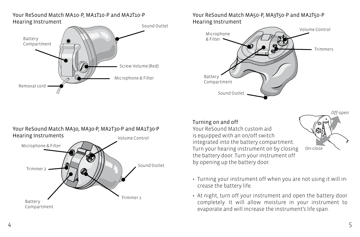#### Your ReSound Match MA10-P, MA1T10-P and MA2T10-P Hearing Instrument



Your ReSound Match MA50-P, MA3T50-P and MA2T50-P Hearing Instrument



# Your ReSound Match MA30, MA30-P, MA2T30-P and MA1T30-P Hearing Instruments Volume Control Microphone & Filter Battery Compartment Trimmer 1 Sound Outlet Trimmer 2

Turning on and off Your ReSound Match custom aid is equipped with an on/off switch integrated into the battery compartment. Turn your hearing instrument on by closing the battery door. Turn your instrument off by opening up the battery door.



- Turning your instrument off when you are not using it will increase the battery life.
- At night, turn off your instrument and open the battery door completely. It will allow moisture in your instrument to evaporate and will increase the instrument's life span.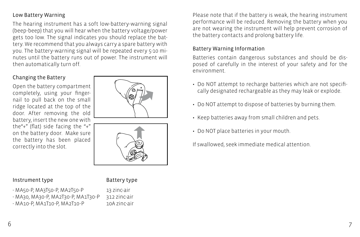#### Low Battery Warning

The hearing instrument has a soft low-battery-warning signal (beep-beep) that you will hear when the battery voltage/power gets too low. The signal indicates you should replace the battery. We recommend that you always carry a spare battery with you. The battery-warning signal will be repeated every 5-10 minutes until the battery runs out of power. The instrument will then automatically turn off.

#### Changing the Battery

Open the battery compartment completely, using your fingernail to pull back on the small ridge located at the top of the door. After removing the old battery, insert the new one with the"+" (flat) side facing the "+" on the battery door. Make sure the battery has been placed correctly into the slot.





#### Instrument type **Battery** type

- MA50-P, MA3T50-P, MA2T50-P 13 zinc-air - MA30, MA30-P, MA2T30-P, MA1T30-P 312 zinc-air
- MA10-P, MA1T10-P, MA2T10-P 10A zinc-air

Please note that if the battery is weak, the hearing instrument performance will be reduced. Removing the battery when you are not wearing the instrument will help prevent corrosion of the battery contacts and prolong battery life.

#### Battery Warning Information

Batteries contain dangerous substances and should be disposed of carefully in the interest of your safety and for the environment.

- Do NOT attempt to recharge batteries which are not specifically designated rechargeable as they may leak or explode.
- Do NOT attempt to dispose of batteries by burning them.
- Keep batteries away from small children and pets.
- Do NOT place batteries in your mouth.

If swallowed, seek immediate medical attention.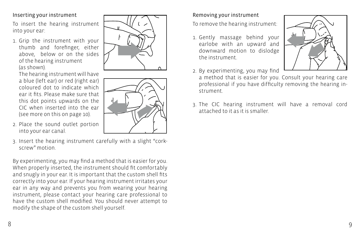#### of the hearing instrument (as shown).

The hearing instrument will have a blue (left ear) or red (right ear) coloured dot to indicate which ear it fits. Please make sure that this dot points upwards on the CIC when inserted into the ear (see more on this on page 10).

Inserting your instrument

into your ear:

To insert the hearing instrument

1. Grip the instrument with your thumb and forefinger, either above, below or on the sides

- 2. Place the sound outlet portion into your ear canal.
- 3. Insert the hearing instrument carefully with a slight "corkscrew" motion.

By experimenting, you may find a method that is easier for you. When properly inserted, the instrument should fit comfortably and snugly in your ear. It is important that the custom shell fits correctly into your ear. If your hearing instrument irritates your ear in any way and prevents you from wearing your hearing instrument, please contact your hearing care professional to have the custom shell modified. You should never attempt to modify the shape of the custom shell yourself.

### Removing your instrument

To remove the hearing instrument:

- 1. Gently massage behind your earlobe with an upward and downward motion to dislodge the instrument.
- 2. By experimenting, you may find
- a method that is easier for you. Consult your hearing care professional if you have difficulty removing the hearing instrument.
- 3. The CIC hearing instrument will have a removal cord attached to it as it is smaller.





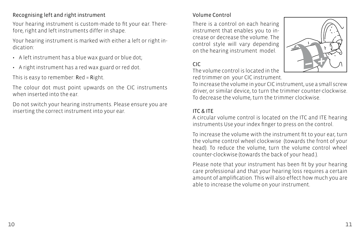#### Recognising left and right instrument

Your hearing instrument is custom-made to fit your ear. Therefore, right and left instruments differ in shape.

Your hearing instrument is marked with either a left or right indication:

- A left instrument has a blue wax guard or blue dot;
- A right instrument has a red wax guard or red dot.

This is easy to remember: Red = Right.

The colour dot must point upwards on the CIC instruments when inserted into the ear.

Do not switch your hearing instruments. Please ensure you are inserting the correct instrument into your ear.

### Volume Control

There is a control on each hearing instrument that enables you to increase or decrease the volume. The control style will vary depending on the hearing instrument model.

### CIC

The volume control is located in the red trimmer on your CIC instrument.



To increase the volume in your CIC instrument, use a small screw driver, or similar device, to turn the trimmer counter-clockwise. To decrease the volume, turn the trimmer clockwise.

#### ITC & ITE

A circular volume control is located on the ITC and ITE hearing instruments Use your index finger to press on the control.

To increase the volume with the instrument fit to your ear, turn the volume control wheel clockwise (towards the front of your head). To reduce the volume, turn the volume control wheel counter-clockwise (towards the back of your head.).

Please note that your instrument has been fit by your hearing care professional and that your hearing loss requires a certain amount of amplification. This will also effect how much you are able to increase the volume on your instrument.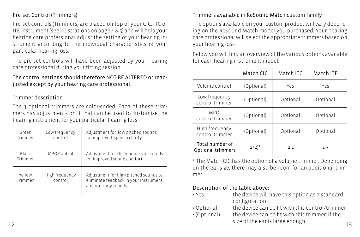#### Pre-set Control (Trimmers)

Pre-set controls (Trimmers) are placed on top of your CIC, ITC or ITE instrument (see illustrations on page 4 & 5) and will help your hearing care professional adjust the setting of your hearing instrument according to the individual characteristics of your particular hearing loss.

The pre-set controls will have been adjusted by your hearing care professional during your fitting session.

The control settings should therefore NOT BE ALTERED or readjusted except by your hearing care professional.

#### Trimmer description

The 3 optional trimmers are color-coded. Each of these trimmers has adjustments on it that can be used to customize the hearing instrument for your particular hearing loss.

| Green<br>Trimmer  | Low frequency<br>control  | Adjustment for low pitched sounds<br>for improved speech clarity                                        |
|-------------------|---------------------------|---------------------------------------------------------------------------------------------------------|
| Black<br>Trimmer  | MPO Control               | Adjustment for the loudness of sounds<br>for improved sound comfort.                                    |
| Yellow<br>Trimmer | High frequency<br>control | Adjustment for high pitched sounds to<br>eliminate feedback in your instrument<br>and /or tinny sounds. |

#### Trimmers available in ReSound Match custom family

The options available on your custom product will vary depending on the ReSound Match model you purchased. Your hearing care professional will select the appropriate trimmers based on your hearing loss.

Below you will find an overview of the various options available for each hearing instrument model:

|                                      | Match CIC  | Match ITC | Match ITE |
|--------------------------------------|------------|-----------|-----------|
| Volume control                       | (Optional) | Yes       | Yes       |
| Low frequency<br>control trimmer     | (Optional) | Optional  | Optional  |
| <b>MPO</b><br>control trimmer        | (Optional) | Optional  | Optional  |
| High frequency<br>control trimmer    | (Optional) | Optional  | Optional  |
| Total number of<br>Optional trimmers | $1(2)^{*}$ | $1-2$     | $2 - 3$   |

\* The Match CIC has the option of a volume trimmer. Depending on the ear size, there may also be room for an additional trimmer.

#### Description of the table above:

- Yes the device will have this option as a standard configuration
- Optional the device can be fit with this control/trimmer
- Size of the early stage enough. The same stage of the early stage enough. The same stage of the same stage of the same stage of the same stage of the same stage of the same stage of the same stage of the same stage of the • (Optional) the device can be fit with this trimmer, if the size of the ear is large enough.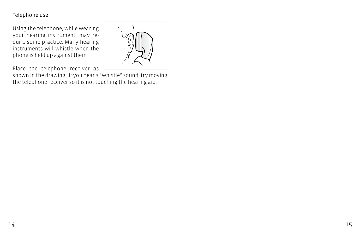#### Telephone use

Using the telephone, while wearing your hearing instrument, may require some practice. Many hearing instruments will whistle when the phone is held up against them.



Place the telephone receiver as

shown in the drawing. If you hear a "whistle" sound, try moving the telephone receiver so it is not touching the hearing aid.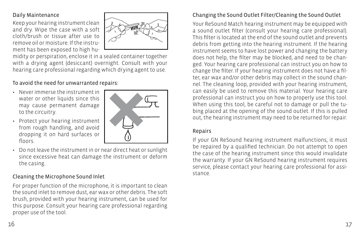#### Daily Maintenance

Keep your hearing instrument clean and dry. Wipe the case with a soft cloth/brush or tissue after use to remove oil or moisture. If the instrument has been exposed to high hu-



midity or perspiration, enclose it in a sealed container together with a drying agent (desiccant) overnight. Consult with your hearing care professional regarding which drying agent to use.

### To avoid the need for unwarranted repairs:

- Never immerse the instrument in water or other liquids since this may cause permanent damage to the circuitry.
- Protect your hearing instrument from rough handling, and avoid dropping it on hard surfaces or floors.



• Do not leave the instrument in or near direct heat or sunlight since excessive heat can damage the instrument or deform the casing.

### Cleaning the Microphone Sound Inlet

For proper function of the microphone, it is important to clean the sound inlet to remove dust, ear wax or other debris. The soft brush, provided with your hearing instrument, can be used for this purpose. Consult your hearing care professional regarding proper use of the tool.

## Changing the Sound Outlet Filter/Cleaning the Sound Outlet

Your ReSound Match hearing instrument may be equipped with a sound outlet filter (consult your hearing care professional). This filter is located at the end of the sound outlet and prevents debris from getting into the hearing instrument. If the hearing instrument seems to have lost power and changing the battery does not help, the filter may be blocked, and need to be changed. Your hearing care professional can instruct you on how to change the filter. If your hearing instrument does not have a filter, ear wax and/or other debris may collect in the sound channel. The cleaning loop, provided with your hearing instrument, can easily be used to remove this material. Your hearing care professional can instruct you on how to properly use this tool. When using this tool, be careful not to damage or pull the tubing placed at the opening of the sound outlet. If this is pulled out, the hearing instrument may need to be returned for repair.

#### Repairs

If your GN ReSound hearing instrument malfunctions, it must be repaired by a qualified technician. Do not attempt to open the case of the hearing instrument since this would invalidate the warranty. If your GN ReSound hearing instrument requires service, please contact your hearing care professional for assistance.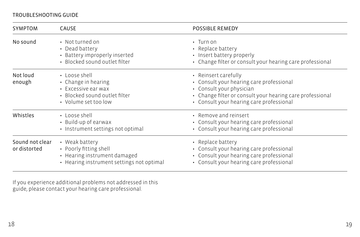#### TROUBLESHOOTING GUIDE

| <b>SYMPTOM</b>                  | <b>CAUSE</b>                                                                                                          | <b>POSSIBLE REMEDY</b>                                                                                                                                                                                |
|---------------------------------|-----------------------------------------------------------------------------------------------------------------------|-------------------------------------------------------------------------------------------------------------------------------------------------------------------------------------------------------|
| No sound                        | • Not turned on<br>• Dead battery<br>• Battery improperly inserted<br>· Blocked sound outlet filter                   | $\cdot$ Turn on<br>• Replace battery<br>• Insert battery properly<br>• Change filter or consult your hearing care professional                                                                        |
| Not loud<br>enough              | • Loose shell<br>• Change in hearing<br>• Excessive ear wax<br>• Blocked sound outlet filter<br>• Volume set too low  | • Reinsert carefully<br>• Consult your hearing care professional<br>• Consult your physician<br>• Change filter or consult your hearing care professional<br>• Consult your hearing care professional |
| Whistles                        | • Loose shell<br>• Build-up of earwax<br>• Instrument settings not optimal                                            | • Remove and reinsert<br>• Consult your hearing care professional<br>• Consult your hearing care professional                                                                                         |
| Sound not clear<br>or distorted | • Weak battery<br>• Poorly fitting shell<br>• Hearing instrument damaged<br>• Hearing instrument settings not optimal | • Replace battery<br>• Consult your hearing care professional<br>• Consult your hearing care professional<br>• Consult your hearing care professional                                                 |

If you experience additional problems not addressed in this guide, please contact your hearing care professional.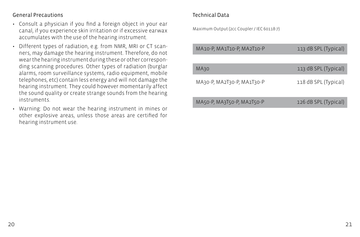#### General Precautions

- Consult a physician if you find a foreign object in your ear canal, if you experience skin irritation or if excessive earwax accumulates with the use of the hearing instrument.
- Different types of radiation, e.g. from NMR, MRI or CT scanners, may damage the hearing instrument. Therefore, do not wear the hearing instrument during these or other corresponding scanning procedures. Other types of radiation (burglar alarms, room surveillance systems, radio equipment, mobile telephones, etc) contain less energy and will not damage the hearing instrument. They could however momentarily affect the sound quality or create strange sounds from the hearing instruments.
- Warning: Do not wear the hearing instrument in mines or other explosive areas, unless those areas are certified for hearing instrument use.

#### Technical Data

Maximum Output (2cc Coupler / IEC 60118-7)

| MA10-P, MA1T10-P, MA2T10-P | 113 dB SPL (Typical) |
|----------------------------|----------------------|
| MA30                       | 113 dB SPL (Typical) |
| MA30-P, MA2T30-P, MA1T30-P | 118 dB SPL (Typical) |
| MA50-P, MA3T50-P, MA2T50-P | 126 dB SPL (Typical) |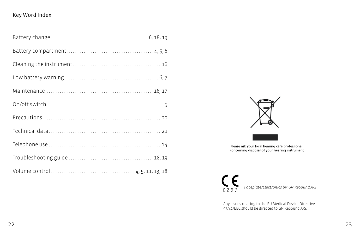#### Key Word Index



Please ask your local hearing care professional<br>concerning disposal of your hearing instrument



Any issues relating to the EU Medical Device Directive 93/42/EEC should be directed to GN ReSound A/S.